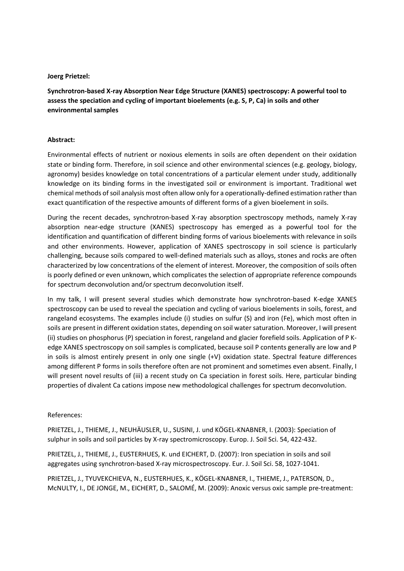## Joerg Prietzel:

Synchrotron-based X-ray Absorption Near Edge Structure (XANES) spectroscopy: A powerful tool to assess the speciation and cycling of important bioelements (e.g. S, P, Ca) in soils and other environmental samples

## Abstract:

Environmental effects of nutrient or noxious elements in soils are often dependent on their oxidation state or binding form. Therefore, in soil science and other environmental sciences (e.g. geology, biology, agronomy) besides knowledge on total concentrations of a particular element under study, additionally knowledge on its binding forms in the investigated soil or environment is important. Traditional wet chemical methods of soil analysis most often allow only for a operationally-defined estimation rather than exact quantification of the respective amounts of different forms of a given bioelement in soils.

During the recent decades, synchrotron-based X-ray absorption spectroscopy methods, namely X-ray absorption near-edge structure (XANES) spectroscopy has emerged as a powerful tool for the identification and quantification of different binding forms of various bioelements with relevance in soils and other environments. However, application of XANES spectroscopy in soil science is particularly challenging, because soils compared to well-defined materials such as alloys, stones and rocks are often characterized by low concentrations of the element of interest. Moreover, the composition of soils often is poorly defined or even unknown, which complicates the selection of appropriate reference compounds for spectrum deconvolution and/or spectrum deconvolution itself.

In my talk, I will present several studies which demonstrate how synchrotron-based K-edge XANES spectroscopy can be used to reveal the speciation and cycling of various bioelements in soils, forest, and rangeland ecosystems. The examples include (i) studies on sulfur (S) and iron (Fe), which most often in soils are present in different oxidation states, depending on soil water saturation. Moreover, I will present (ii) studies on phosphorus (P) speciation in forest, rangeland and glacier forefield soils. Application of P Kedge XANES spectroscopy on soil samples is complicated, because soil P contents generally are low and P in soils is almost entirely present in only one single (+V) oxidation state. Spectral feature differences among different P forms in soils therefore often are not prominent and sometimes even absent. Finally, I will present novel results of (iii) a recent study on Ca speciation in forest soils. Here, particular binding properties of divalent Ca cations impose new methodological challenges for spectrum deconvolution.

## References:

PRIETZEL, J., THIEME, J., NEUHÄUSLER, U., SUSINI, J. und KÖGEL-KNABNER, I. (2003): Speciation of sulphur in soils and soil particles by X-ray spectromicroscopy. Europ. J. Soil Sci. 54, 422-432.

PRIETZEL, J., THIEME, J., EUSTERHUES, K. und EICHERT, D. (2007): Iron speciation in soils and soil aggregates using synchrotron-based X-ray microspectroscopy. Eur. J. Soil Sci. 58, 1027-1041.

PRIETZEL, J., TYUVEKCHIEVA, N., EUSTERHUES, K., KÖGEL-KNABNER, I., THIEME, J., PATERSON, D., McNULTY, I., DE JONGE, M., EICHERT, D., SALOMÉ, M. (2009): Anoxic versus oxic sample pre-treatment: